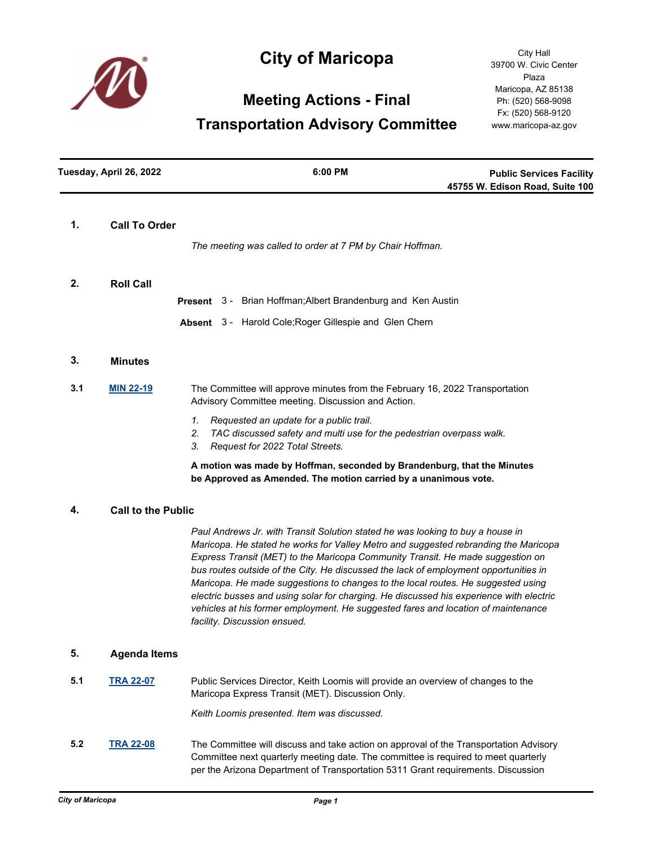

# **City of Maricopa**

City Hall 39700 W. Civic Center Plaza Maricopa, AZ 85138 Ph: (520) 568-9098 Fx: (520) 568-9120 www.maricopa-az.gov

# **Meeting Actions - Final**

## **Transportation Advisory Committee**

| Tuesday, April 26, 2022 |                           | 6:00 PM                                                                                                                                                                                                                                                                                                                                                                                                                                                                                                                                                                                                                                             | <b>Public Services Facility</b><br>45755 W. Edison Road, Suite 100 |  |
|-------------------------|---------------------------|-----------------------------------------------------------------------------------------------------------------------------------------------------------------------------------------------------------------------------------------------------------------------------------------------------------------------------------------------------------------------------------------------------------------------------------------------------------------------------------------------------------------------------------------------------------------------------------------------------------------------------------------------------|--------------------------------------------------------------------|--|
| 1.                      | <b>Call To Order</b>      | The meeting was called to order at 7 PM by Chair Hoffman.                                                                                                                                                                                                                                                                                                                                                                                                                                                                                                                                                                                           |                                                                    |  |
|                         |                           |                                                                                                                                                                                                                                                                                                                                                                                                                                                                                                                                                                                                                                                     |                                                                    |  |
| 2.                      | <b>Roll Call</b>          |                                                                                                                                                                                                                                                                                                                                                                                                                                                                                                                                                                                                                                                     |                                                                    |  |
|                         |                           | Present 3 - Brian Hoffman; Albert Brandenburg and Ken Austin                                                                                                                                                                                                                                                                                                                                                                                                                                                                                                                                                                                        |                                                                    |  |
|                         |                           | Absent 3 - Harold Cole; Roger Gillespie and Glen Chern                                                                                                                                                                                                                                                                                                                                                                                                                                                                                                                                                                                              |                                                                    |  |
| 3.                      | <b>Minutes</b>            |                                                                                                                                                                                                                                                                                                                                                                                                                                                                                                                                                                                                                                                     |                                                                    |  |
| 3.1                     | <b>MIN 22-19</b>          | The Committee will approve minutes from the February 16, 2022 Transportation<br>Advisory Committee meeting. Discussion and Action.                                                                                                                                                                                                                                                                                                                                                                                                                                                                                                                  |                                                                    |  |
|                         |                           | 1.<br>Requested an update for a public trail.<br>2.<br>TAC discussed safety and multi use for the pedestrian overpass walk.<br>Request for 2022 Total Streets.<br>3.                                                                                                                                                                                                                                                                                                                                                                                                                                                                                |                                                                    |  |
|                         |                           | A motion was made by Hoffman, seconded by Brandenburg, that the Minutes<br>be Approved as Amended. The motion carried by a unanimous vote.                                                                                                                                                                                                                                                                                                                                                                                                                                                                                                          |                                                                    |  |
| 4.                      | <b>Call to the Public</b> |                                                                                                                                                                                                                                                                                                                                                                                                                                                                                                                                                                                                                                                     |                                                                    |  |
|                         |                           | Paul Andrews Jr. with Transit Solution stated he was looking to buy a house in<br>Maricopa. He stated he works for Valley Metro and suggested rebranding the Maricopa<br>Express Transit (MET) to the Maricopa Community Transit. He made suggestion on<br>bus routes outside of the City. He discussed the lack of employment opportunities in<br>Maricopa. He made suggestions to changes to the local routes. He suggested using<br>electric busses and using solar for charging. He discussed his experience with electric<br>vehicles at his former employment. He suggested fares and location of maintenance<br>facility. Discussion ensued. |                                                                    |  |
| 5.                      | <b>Agenda Items</b>       |                                                                                                                                                                                                                                                                                                                                                                                                                                                                                                                                                                                                                                                     |                                                                    |  |
| 5.1                     | <b>TRA 22-07</b>          | Public Services Director, Keith Loomis will provide an overview of changes to the<br>Maricopa Express Transit (MET). Discussion Only.<br>Keith Loomis presented. Item was discussed.                                                                                                                                                                                                                                                                                                                                                                                                                                                                |                                                                    |  |

**5.2 [TRA 22-08](http://maricopa.legistar.com/gateway.aspx?m=l&id=/matter.aspx?key=11196)** The Committee will discuss and take action on approval of the Transportation Advisory Committee next quarterly meeting date. The committee is required to meet quarterly per the Arizona Department of Transportation 5311 Grant requirements. Discussion